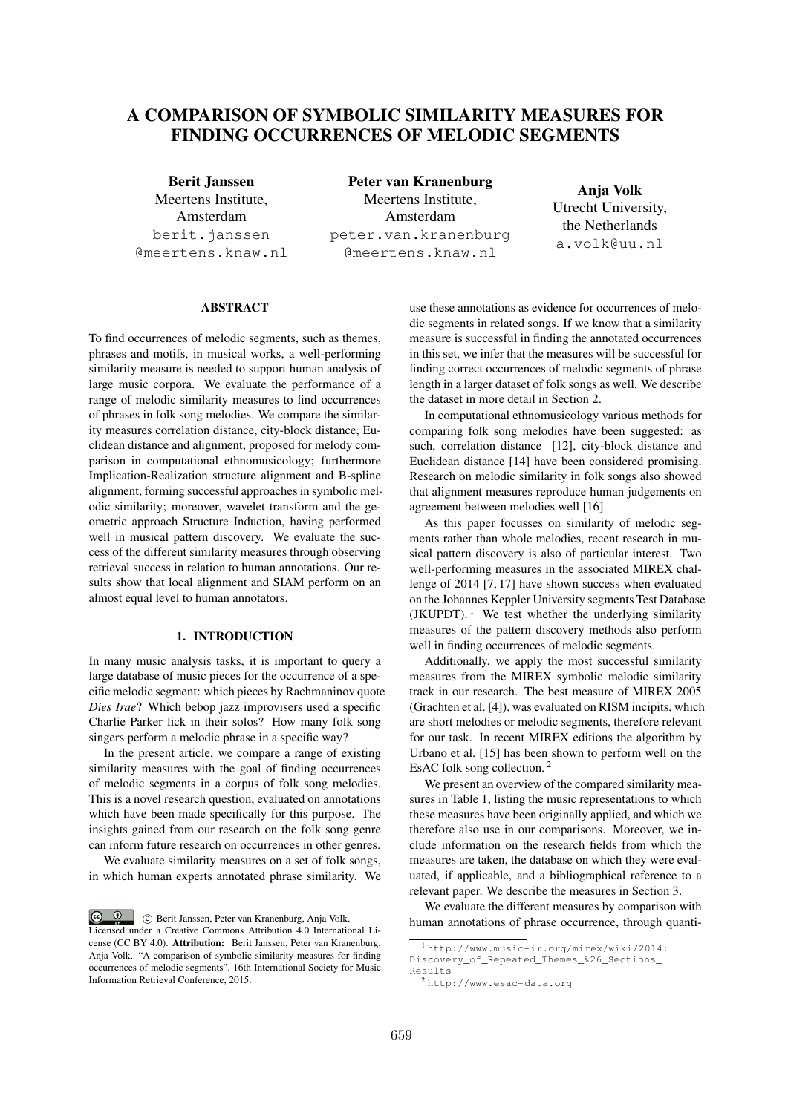# A COMPARISON OF SYMBOLIC SIMILARITY MEASURES FOR FINDING OCCURRENCES OF MELODIC SEGMENTS

Berit Janssen Meertens Institute, Amsterdam berit.janssen @meertens.knaw.nl

Peter van Kranenburg Meertens Institute, Amsterdam peter.van.kranenburg @meertens.knaw.nl

Anja Volk Utrecht University, the Netherlands a.volk@uu.nl

#### ABSTRACT

To find occurrences of melodic segments, such as themes, phrases and motifs, in musical works, a well-performing similarity measure is needed to support human analysis of large music corpora. We evaluate the performance of a range of melodic similarity measures to find occurrences of phrases in folk song melodies. We compare the similarity measures correlation distance, city-block distance, Euclidean distance and alignment, proposed for melody comparison in computational ethnomusicology; furthermore Implication-Realization structure alignment and B-spline alignment, forming successful approaches in symbolic melodic similarity; moreover, wavelet transform and the geometric approach Structure Induction, having performed well in musical pattern discovery. We evaluate the success of the different similarity measures through observing retrieval success in relation to human annotations. Our results show that local alignment and SIAM perform on an almost equal level to human annotators.

# 1. INTRODUCTION

In many music analysis tasks, it is important to query a large database of music pieces for the occurrence of a specific melodic segment: which pieces by Rachmaninov quote *Dies Irae*? Which bebop jazz improvisers used a specific Charlie Parker lick in their solos? How many folk song singers perform a melodic phrase in a specific way?

In the present article, we compare a range of existing similarity measures with the goal of finding occurrences of melodic segments in a corpus of folk song melodies. This is a novel research question, evaluated on annotations which have been made specifically for this purpose. The insights gained from our research on the folk song genre can inform future research on occurrences in other genres.

We evaluate similarity measures on a set of folk songs, in which human experts annotated phrase similarity. We use these annotations as evidence for occurrences of melodic segments in related songs. If we know that a similarity measure is successful in finding the annotated occurrences in this set, we infer that the measures will be successful for finding correct occurrences of melodic segments of phrase length in a larger dataset of folk songs as well. We describe the dataset in more detail in Section 2.

In computational ethnomusicology various methods for comparing folk song melodies have been suggested: as such, correlation distance [12], city-block distance and Euclidean distance [14] have been considered promising. Research on melodic similarity in folk songs also showed that alignment measures reproduce human judgements on agreement between melodies well [16].

As this paper focusses on similarity of melodic segments rather than whole melodies, recent research in musical pattern discovery is also of particular interest. Two well-performing measures in the associated MIREX challenge of 2014 [7, 17] have shown success when evaluated on the Johannes Keppler University segments Test Database (JKUPDT).<sup>1</sup> We test whether the underlying similarity measures of the pattern discovery methods also perform well in finding occurrences of melodic segments.

Additionally, we apply the most successful similarity measures from the MIREX symbolic melodic similarity track in our research. The best measure of MIREX 2005 (Grachten et al. [4]), was evaluated on RISM incipits, which are short melodies or melodic segments, therefore relevant for our task. In recent MIREX editions the algorithm by Urbano et al. [15] has been shown to perform well on the EsAC folk song collection. <sup>2</sup>

We present an overview of the compared similarity measures in Table 1, listing the music representations to which these measures have been originally applied, and which we therefore also use in our comparisons. Moreover, we include information on the research fields from which the measures are taken, the database on which they were evaluated, if applicable, and a bibliographical reference to a relevant paper. We describe the measures in Section 3.

We evaluate the different measures by comparison with human annotations of phrase occurrence, through quanti-

 $\circ$   $\circ$ c Berit Janssen, Peter van Kranenburg, Anja Volk. Licensed under a Creative Commons Attribution 4.0 International License (CC BY 4.0). Attribution: Berit Janssen, Peter van Kranenburg, Anja Volk. "A comparison of symbolic similarity measures for finding occurrences of melodic segments", 16th International Society for Music Information Retrieval Conference, 2015.

<sup>1</sup> http://www.music-ir.org/mirex/wiki/2014:

Discovery\_of\_Repeated\_Themes\_%26\_Sections\_ Results

<sup>2</sup> http://www.esac-data.org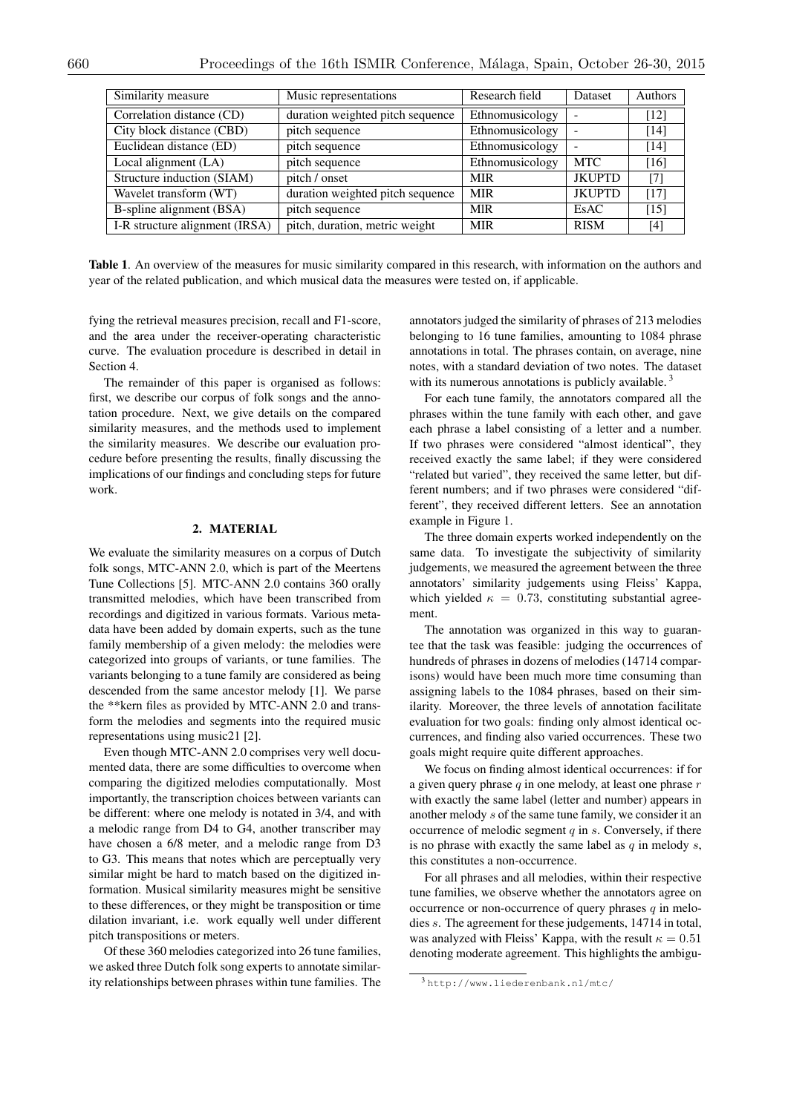| Similarity measure             | Music representations<br>Research field             |                 | Dataset       | Authors |
|--------------------------------|-----------------------------------------------------|-----------------|---------------|---------|
| Correlation distance (CD)      | duration weighted pitch sequence<br>Ethnomusicology |                 |               | $[12]$  |
| City block distance (CBD)      | pitch sequence                                      | Ethnomusicology |               | [14]    |
| Euclidean distance (ED)        | pitch sequence                                      | Ethnomusicology |               | [14]    |
| Local alignment (LA)           | pitch sequence                                      | Ethnomusicology | <b>MTC</b>    | [16]    |
| Structure induction (SIAM)     | pitch / onset                                       | <b>MIR</b>      | <b>JKUPTD</b> | [7]     |
| Wavelet transform (WT)         | duration weighted pitch sequence                    | <b>MIR</b>      | <b>JKUPTD</b> | [17]    |
| B-spline alignment (BSA)       | pitch sequence                                      | <b>MIR</b>      | EsAC          | [15]    |
| I-R structure alignment (IRSA) | pitch, duration, metric weight                      | <b>MIR</b>      | <b>RISM</b>   | [4]     |

Table 1. An overview of the measures for music similarity compared in this research, with information on the authors and year of the related publication, and which musical data the measures were tested on, if applicable.

fying the retrieval measures precision, recall and F1-score, and the area under the receiver-operating characteristic curve. The evaluation procedure is described in detail in Section 4.

The remainder of this paper is organised as follows: first, we describe our corpus of folk songs and the annotation procedure. Next, we give details on the compared similarity measures, and the methods used to implement the similarity measures. We describe our evaluation procedure before presenting the results, finally discussing the implications of our findings and concluding steps for future work.

# 2. MATERIAL

We evaluate the similarity measures on a corpus of Dutch folk songs, MTC-ANN 2.0, which is part of the Meertens Tune Collections [5]. MTC-ANN 2.0 contains 360 orally transmitted melodies, which have been transcribed from recordings and digitized in various formats. Various metadata have been added by domain experts, such as the tune family membership of a given melody: the melodies were categorized into groups of variants, or tune families. The variants belonging to a tune family are considered as being descended from the same ancestor melody [1]. We parse the \*\*kern files as provided by MTC-ANN 2.0 and transform the melodies and segments into the required music representations using music21 [2].

Even though MTC-ANN 2.0 comprises very well documented data, there are some difficulties to overcome when comparing the digitized melodies computationally. Most importantly, the transcription choices between variants can be different: where one melody is notated in 3/4, and with a melodic range from D4 to G4, another transcriber may have chosen a 6/8 meter, and a melodic range from D3 to G3. This means that notes which are perceptually very similar might be hard to match based on the digitized information. Musical similarity measures might be sensitive to these differences, or they might be transposition or time dilation invariant, i.e. work equally well under different pitch transpositions or meters.

Of these 360 melodies categorized into 26 tune families, we asked three Dutch folk song experts to annotate similarity relationships between phrases within tune families. The annotators judged the similarity of phrases of 213 melodies belonging to 16 tune families, amounting to 1084 phrase annotations in total. The phrases contain, on average, nine notes, with a standard deviation of two notes. The dataset with its numerous annotations is publicly available.<sup>3</sup>

For each tune family, the annotators compared all the phrases within the tune family with each other, and gave each phrase a label consisting of a letter and a number. If two phrases were considered "almost identical", they received exactly the same label; if they were considered "related but varied", they received the same letter, but different numbers; and if two phrases were considered "different", they received different letters. See an annotation example in Figure 1.

The three domain experts worked independently on the same data. To investigate the subjectivity of similarity judgements, we measured the agreement between the three annotators' similarity judgements using Fleiss' Kappa, which yielded  $\kappa = 0.73$ , constituting substantial agreement.

The annotation was organized in this way to guarantee that the task was feasible: judging the occurrences of hundreds of phrases in dozens of melodies (14714 comparisons) would have been much more time consuming than assigning labels to the 1084 phrases, based on their similarity. Moreover, the three levels of annotation facilitate evaluation for two goals: finding only almost identical occurrences, and finding also varied occurrences. These two goals might require quite different approaches.

We focus on finding almost identical occurrences: if for a given query phrase *q* in one melody, at least one phrase *r* with exactly the same label (letter and number) appears in another melody *s* of the same tune family, we consider it an occurrence of melodic segment *q* in *s*. Conversely, if there is no phrase with exactly the same label as *q* in melody *s*, this constitutes a non-occurrence.

For all phrases and all melodies, within their respective tune families, we observe whether the annotators agree on occurrence or non-occurrence of query phrases *q* in melodies *s*. The agreement for these judgements, 14714 in total, was analyzed with Fleiss' Kappa, with the result  $\kappa = 0.51$ denoting moderate agreement. This highlights the ambigu-

<sup>3</sup> http://www.liederenbank.nl/mtc/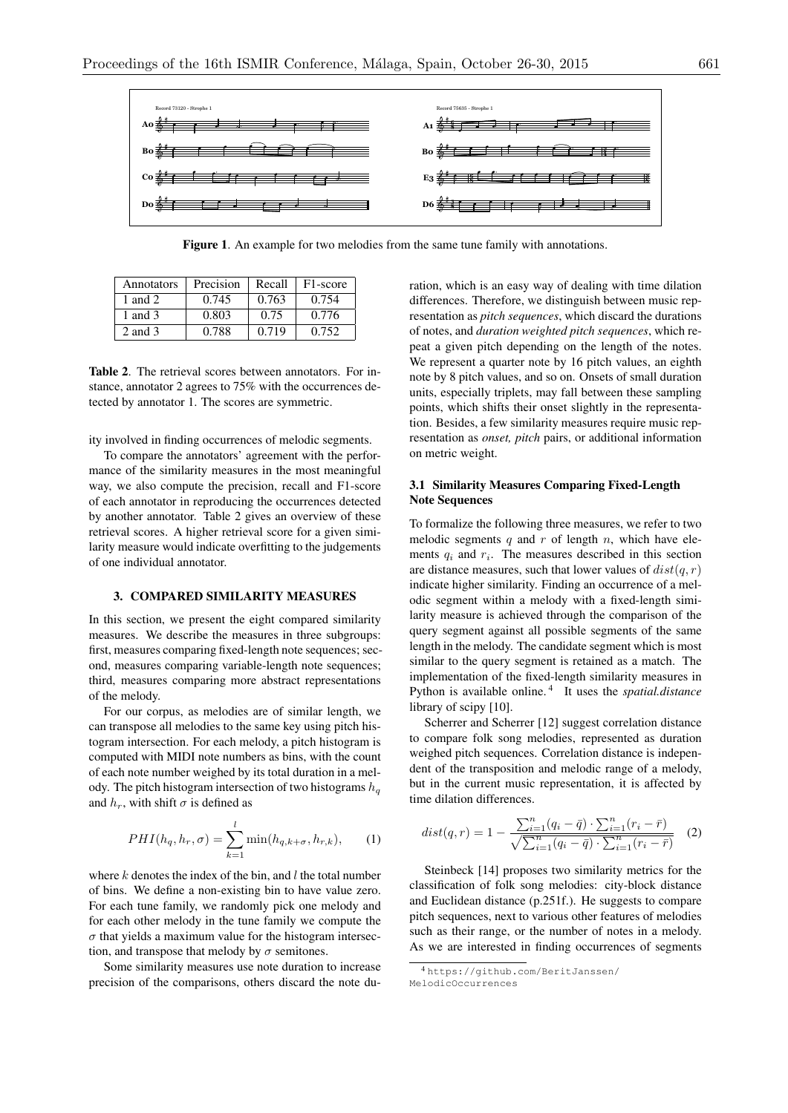

Figure 1. An example for two melodies from the same tune family with annotations.

| Annotators | Precision | Recall | F <sub>1</sub> -score |
|------------|-----------|--------|-----------------------|
| 1 and 2    | 0.745     | 0.763  | 0.754                 |
| 1 and $3$  | 0.803     | 0.75   | 0.776                 |
| 2 and 3    | 0.788     | 0.719  | 0.752                 |

Table 2. The retrieval scores between annotators. For instance, annotator 2 agrees to 75% with the occurrences detected by annotator 1. The scores are symmetric.

ity involved in finding occurrences of melodic segments.

To compare the annotators' agreement with the performance of the similarity measures in the most meaningful way, we also compute the precision, recall and F1-score of each annotator in reproducing the occurrences detected by another annotator. Table 2 gives an overview of these retrieval scores. A higher retrieval score for a given similarity measure would indicate overfitting to the judgements of one individual annotator.

#### 3. COMPARED SIMILARITY MEASURES

In this section, we present the eight compared similarity measures. We describe the measures in three subgroups: first, measures comparing fixed-length note sequences; second, measures comparing variable-length note sequences; third, measures comparing more abstract representations of the melody.

For our corpus, as melodies are of similar length, we can transpose all melodies to the same key using pitch histogram intersection. For each melody, a pitch histogram is computed with MIDI note numbers as bins, with the count of each note number weighed by its total duration in a melody. The pitch histogram intersection of two histograms *h<sup>q</sup>* and  $h_r$ , with shift  $\sigma$  is defined as

$$
PHI(h_q, h_r, \sigma) = \sum_{k=1}^{l} \min(h_{q,k+\sigma}, h_{r,k}), \quad (1)
$$

where *k* denotes the index of the bin, and *l* the total number of bins. We define a non-existing bin to have value zero. For each tune family, we randomly pick one melody and for each other melody in the tune family we compute the  $\sigma$  that yields a maximum value for the histogram intersection, and transpose that melody by  $\sigma$  semitones.

Some similarity measures use note duration to increase precision of the comparisons, others discard the note duration, which is an easy way of dealing with time dilation differences. Therefore, we distinguish between music representation as *pitch sequences*, which discard the durations of notes, and *duration weighted pitch sequences*, which repeat a given pitch depending on the length of the notes. We represent a quarter note by 16 pitch values, an eighth note by 8 pitch values, and so on. Onsets of small duration units, especially triplets, may fall between these sampling points, which shifts their onset slightly in the representation. Besides, a few similarity measures require music representation as *onset, pitch* pairs, or additional information on metric weight.

# 3.1 Similarity Measures Comparing Fixed-Length Note Sequences

To formalize the following three measures, we refer to two melodic segments *q* and *r* of length *n*, which have elements  $q_i$  and  $r_i$ . The measures described in this section are distance measures, such that lower values of *dist*(*q, r*) indicate higher similarity. Finding an occurrence of a melodic segment within a melody with a fixed-length similarity measure is achieved through the comparison of the query segment against all possible segments of the same length in the melody. The candidate segment which is most similar to the query segment is retained as a match. The implementation of the fixed-length similarity measures in Python is available online. <sup>4</sup> It uses the *spatial.distance* library of scipy [10].

Scherrer and Scherrer [12] suggest correlation distance to compare folk song melodies, represented as duration weighed pitch sequences. Correlation distance is independent of the transposition and melodic range of a melody, but in the current music representation, it is affected by time dilation differences.

$$
dist(q,r) = 1 - \frac{\sum_{i=1}^{n} (q_i - \bar{q}) \cdot \sum_{i=1}^{n} (r_i - \bar{r})}{\sqrt{\sum_{i=1}^{n} (q_i - \bar{q}) \cdot \sum_{i=1}^{n} (r_i - \bar{r})}}
$$
(2)

Steinbeck [14] proposes two similarity metrics for the classification of folk song melodies: city-block distance and Euclidean distance (p.251f.). He suggests to compare pitch sequences, next to various other features of melodies such as their range, or the number of notes in a melody. As we are interested in finding occurrences of segments

<sup>4</sup> https://github.com/BeritJanssen/

MelodicOccurrences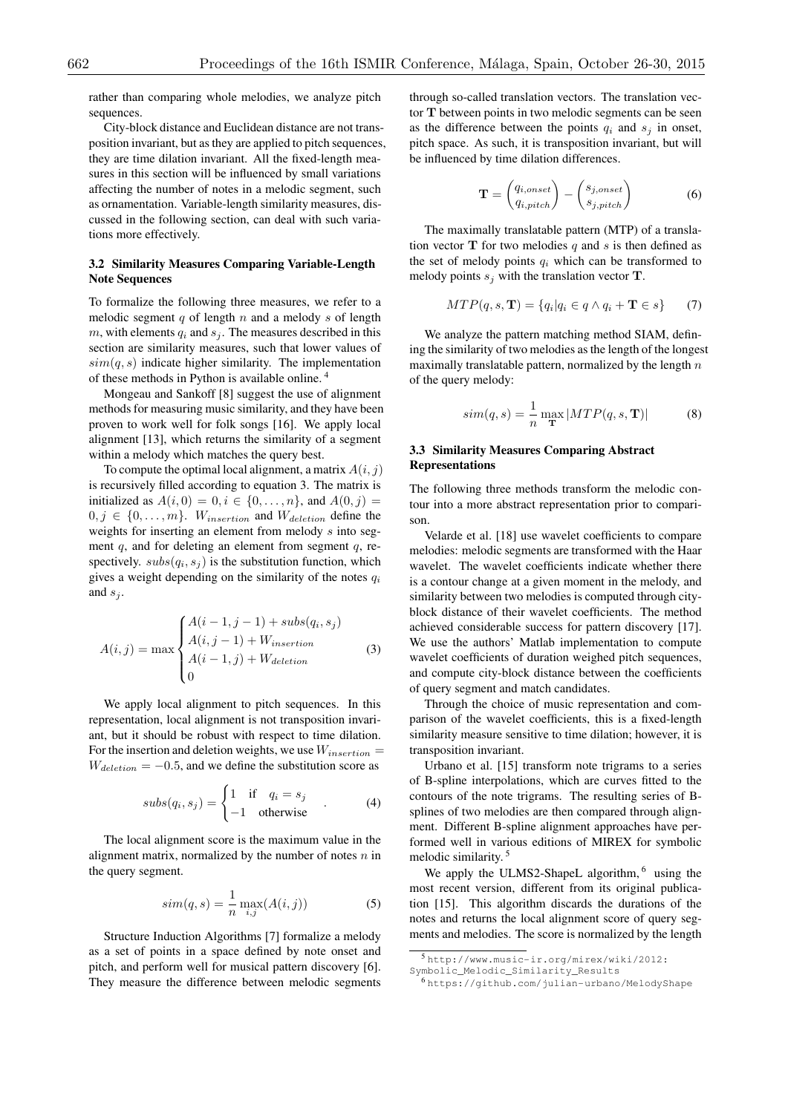rather than comparing whole melodies, we analyze pitch sequences.

City-block distance and Euclidean distance are not transposition invariant, but as they are applied to pitch sequences, they are time dilation invariant. All the fixed-length measures in this section will be influenced by small variations affecting the number of notes in a melodic segment, such as ornamentation. Variable-length similarity measures, discussed in the following section, can deal with such variations more effectively.

#### 3.2 Similarity Measures Comparing Variable-Length Note Sequences

To formalize the following three measures, we refer to a melodic segment *q* of length *n* and a melody *s* of length  $m$ , with elements  $q_i$  and  $s_j$ . The measures described in this section are similarity measures, such that lower values of  $sim(q, s)$  indicate higher similarity. The implementation of these methods in Python is available online. <sup>4</sup>

Mongeau and Sankoff [8] suggest the use of alignment methods for measuring music similarity, and they have been proven to work well for folk songs [16]. We apply local alignment [13], which returns the similarity of a segment within a melody which matches the query best.

To compute the optimal local alignment, a matrix  $A(i, j)$ is recursively filled according to equation 3. The matrix is initialized as  $A(i, 0) = 0, i \in \{0, ..., n\}$ , and  $A(0, j) =$  $0, j \in \{0, \ldots, m\}$ . *W*<sub>insertion</sub> and *W*<sub>deletion</sub> define the weights for inserting an element from melody *s* into segment *q*, and for deleting an element from segment *q*, respectively.  $subs(q_i, s_j)$  is the substitution function, which gives a weight depending on the similarity of the notes *q<sup>i</sup>* and *s<sup>j</sup>* .

$$
A(i,j) = \max \begin{cases} A(i-1,j-1) + subs(q_i, s_j) \\ A(i,j-1) + W_{insertion} \\ A(i-1,j) + W_{detection} \\ 0 \end{cases}
$$
(3)

We apply local alignment to pitch sequences. In this representation, local alignment is not transposition invariant, but it should be robust with respect to time dilation. For the insertion and deletion weights, we use *Winsertion* =  $W_{detection} = -0.5$ , and we define the substitution score as

$$
subs(q_i, s_j) = \begin{cases} 1 & \text{if } q_i = s_j \\ -1 & \text{otherwise} \end{cases} . \tag{4}
$$

The local alignment score is the maximum value in the alignment matrix, normalized by the number of notes *n* in the query segment.

$$
sim(q, s) = \frac{1}{n} \max_{i,j} (A(i, j))
$$
 (5)

Structure Induction Algorithms [7] formalize a melody as a set of points in a space defined by note onset and pitch, and perform well for musical pattern discovery [6]. They measure the difference between melodic segments through so-called translation vectors. The translation vector T between points in two melodic segments can be seen as the difference between the points  $q_i$  and  $s_j$  in onset, pitch space. As such, it is transposition invariant, but will be influenced by time dilation differences.

$$
\mathbf{T} = \begin{pmatrix} q_{i,onset} \\ q_{i,pitch} \end{pmatrix} - \begin{pmatrix} s_{j,onset} \\ s_{j,pitch} \end{pmatrix}
$$
 (6)

The maximally translatable pattern (MTP) of a translation vector  $T$  for two melodies  $q$  and  $s$  is then defined as the set of melody points  $q_i$  which can be transformed to melody points  $s_j$  with the translation vector **T**.

$$
MTP(q, s, \mathbf{T}) = \{q_i | q_i \in q \land q_i + \mathbf{T} \in s\}
$$
 (7)

We analyze the pattern matching method SIAM, defining the similarity of two melodies as the length of the longest maximally translatable pattern, normalized by the length *n* of the query melody:

$$
sim(q,s) = \frac{1}{n} \max_{\mathbf{T}} |MTP(q,s,\mathbf{T})|
$$
 (8)

## 3.3 Similarity Measures Comparing Abstract Representations

The following three methods transform the melodic contour into a more abstract representation prior to comparison.

Velarde et al. [18] use wavelet coefficients to compare melodies: melodic segments are transformed with the Haar wavelet. The wavelet coefficients indicate whether there is a contour change at a given moment in the melody, and similarity between two melodies is computed through cityblock distance of their wavelet coefficients. The method achieved considerable success for pattern discovery [17]. We use the authors' Matlab implementation to compute wavelet coefficients of duration weighed pitch sequences, and compute city-block distance between the coefficients of query segment and match candidates.

Through the choice of music representation and comparison of the wavelet coefficients, this is a fixed-length similarity measure sensitive to time dilation; however, it is transposition invariant.

Urbano et al. [15] transform note trigrams to a series of B-spline interpolations, which are curves fitted to the contours of the note trigrams. The resulting series of Bsplines of two melodies are then compared through alignment. Different B-spline alignment approaches have performed well in various editions of MIREX for symbolic melodic similarity. <sup>5</sup>

We apply the ULMS2-ShapeL algorithm, <sup>6</sup> using the most recent version, different from its original publication [15]. This algorithm discards the durations of the notes and returns the local alignment score of query segments and melodies. The score is normalized by the length

<sup>5</sup> http://www.music-ir.org/mirex/wiki/2012:

Symbolic\_Melodic\_Similarity\_Results <sup>6</sup> https://github.com/julian-urbano/MelodyShape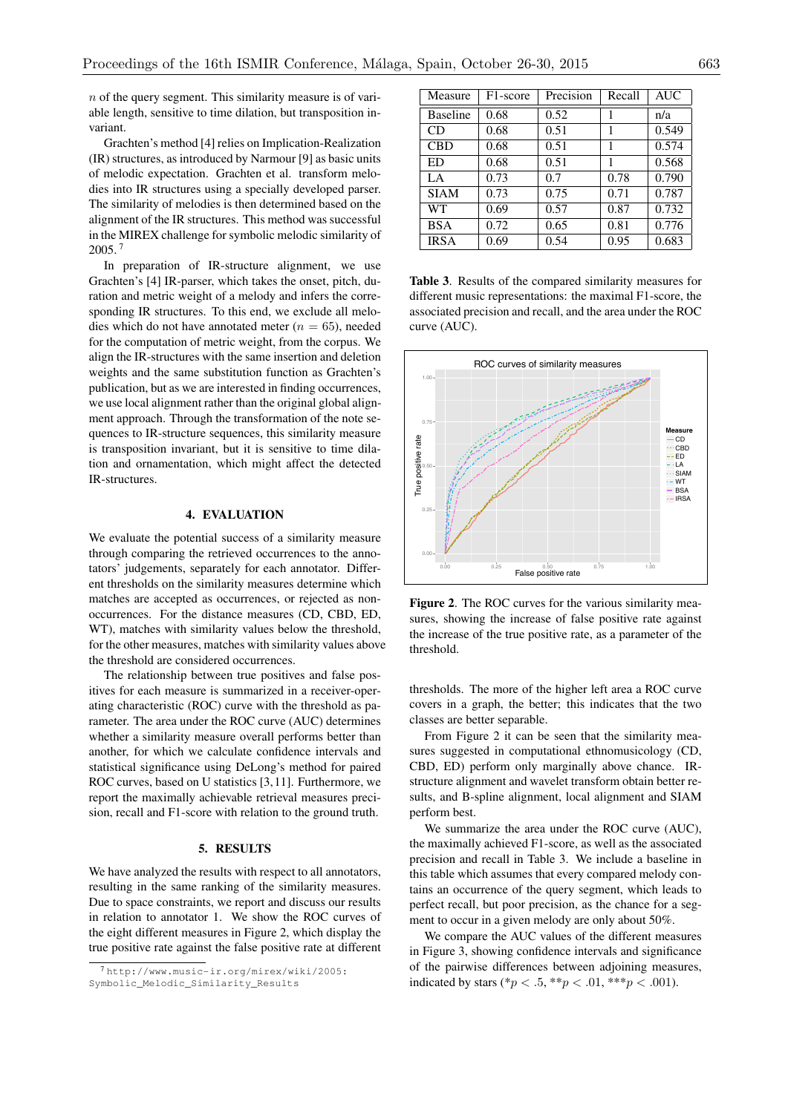*n* of the query segment. This similarity measure is of variable length, sensitive to time dilation, but transposition invariant.

Grachten's method [4] relies on Implication-Realization (IR) structures, as introduced by Narmour [9] as basic units of melodic expectation. Grachten et al. transform melodies into IR structures using a specially developed parser. The similarity of melodies is then determined based on the alignment of the IR structures. This method was successful in the MIREX challenge for symbolic melodic similarity of 2005. <sup>7</sup>

In preparation of IR-structure alignment, we use Grachten's [4] IR-parser, which takes the onset, pitch, duration and metric weight of a melody and infers the corresponding IR structures. To this end, we exclude all melodies which do not have annotated meter  $(n = 65)$ , needed for the computation of metric weight, from the corpus. We align the IR-structures with the same insertion and deletion weights and the same substitution function as Grachten's publication, but as we are interested in finding occurrences, we use local alignment rather than the original global alignment approach. Through the transformation of the note sequences to IR-structure sequences, this similarity measure is transposition invariant, but it is sensitive to time dilation and ornamentation, which might affect the detected IR-structures.

#### 4. EVALUATION

We evaluate the potential success of a similarity measure through comparing the retrieved occurrences to the annotators' judgements, separately for each annotator. Different thresholds on the similarity measures determine which matches are accepted as occurrences, or rejected as nonoccurrences. For the distance measures (CD, CBD, ED, WT), matches with similarity values below the threshold, for the other measures, matches with similarity values above the threshold are considered occurrences.

The relationship between true positives and false positives for each measure is summarized in a receiver-operating characteristic (ROC) curve with the threshold as parameter. The area under the ROC curve (AUC) determines whether a similarity measure overall performs better than another, for which we calculate confidence intervals and statistical significance using DeLong's method for paired ROC curves, based on U statistics [3,11]. Furthermore, we report the maximally achievable retrieval measures precision, recall and F1-score with relation to the ground truth.

## 5. RESULTS

We have analyzed the results with respect to all annotators, resulting in the same ranking of the similarity measures. Due to space constraints, we report and discuss our results in relation to annotator 1. We show the ROC curves of the eight different measures in Figure 2, which display the true positive rate against the false positive rate at different

| Measure         | F1-score | Precision | Recall | <b>AUC</b> |
|-----------------|----------|-----------|--------|------------|
| <b>Baseline</b> | 0.68     | 0.52      | 1      | n/a        |
| CD.             | 0.68     | 0.51      | 1      | 0.549      |
| <b>CBD</b>      | 0.68     | 0.51      | 1      | 0.574      |
| ED              | 0.68     | 0.51      |        | 0.568      |
| LA              | 0.73     | 0.7       | 0.78   | 0.790      |
| <b>SIAM</b>     | 0.73     | 0.75      | 0.71   | 0.787      |
| WТ              | 0.69     | 0.57      | 0.87   | 0.732      |
| <b>BSA</b>      | 0.72     | 0.65      | 0.81   | 0.776      |
| <b>IRSA</b>     | 0.69     | 0.54      | 0.95   | 0.683      |

Table 3. Results of the compared similarity measures for different music representations: the maximal F1-score, the associated precision and recall, and the area under the ROC curve (AUC).



Figure 2. The ROC curves for the various similarity measures, showing the increase of false positive rate against the increase of the true positive rate, as a parameter of the threshold.

thresholds. The more of the higher left area a ROC curve covers in a graph, the better; this indicates that the two classes are better separable.

From Figure 2 it can be seen that the similarity measures suggested in computational ethnomusicology (CD, CBD, ED) perform only marginally above chance. IRstructure alignment and wavelet transform obtain better results, and B-spline alignment, local alignment and SIAM perform best.

We summarize the area under the ROC curve (AUC), the maximally achieved F1-score, as well as the associated precision and recall in Table 3. We include a baseline in this table which assumes that every compared melody contains an occurrence of the query segment, which leads to perfect recall, but poor precision, as the chance for a segment to occur in a given melody are only about 50%.

We compare the AUC values of the different measures in Figure 3, showing confidence intervals and significance of the pairwise differences between adjoining measures, indicated by stars (\* $p < .5$ , \*\* $p < .01$ , \*\*\* $p < .001$ ).

<sup>7</sup> http://www.music-ir.org/mirex/wiki/2005: Symbolic\_Melodic\_Similarity\_Results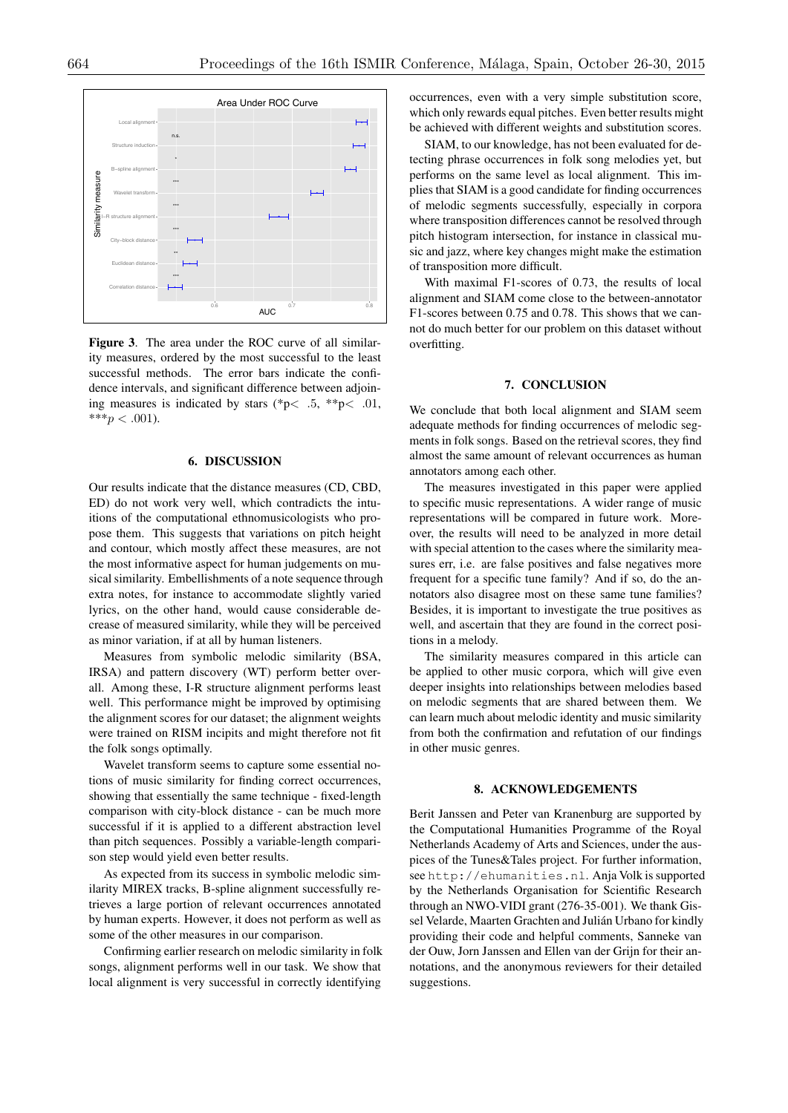

Figure 3. The area under the ROC curve of all similarity measures, ordered by the most successful to the least successful methods. The error bars indicate the confidence intervals, and significant difference between adjoining measures is indicated by stars (\*p*< .*5, \*\*p*< .*01,  $***p<.001$ ).

# 6. DISCUSSION

Our results indicate that the distance measures (CD, CBD, ED) do not work very well, which contradicts the intuitions of the computational ethnomusicologists who propose them. This suggests that variations on pitch height and contour, which mostly affect these measures, are not the most informative aspect for human judgements on musical similarity. Embellishments of a note sequence through extra notes, for instance to accommodate slightly varied lyrics, on the other hand, would cause considerable decrease of measured similarity, while they will be perceived as minor variation, if at all by human listeners.

Measures from symbolic melodic similarity (BSA, IRSA) and pattern discovery (WT) perform better overall. Among these, I-R structure alignment performs least well. This performance might be improved by optimising the alignment scores for our dataset; the alignment weights were trained on RISM incipits and might therefore not fit the folk songs optimally.

Wavelet transform seems to capture some essential notions of music similarity for finding correct occurrences, showing that essentially the same technique - fixed-length comparison with city-block distance - can be much more successful if it is applied to a different abstraction level than pitch sequences. Possibly a variable-length comparison step would yield even better results.

As expected from its success in symbolic melodic similarity MIREX tracks, B-spline alignment successfully retrieves a large portion of relevant occurrences annotated by human experts. However, it does not perform as well as some of the other measures in our comparison.

Confirming earlier research on melodic similarity in folk songs, alignment performs well in our task. We show that local alignment is very successful in correctly identifying

occurrences, even with a very simple substitution score, which only rewards equal pitches. Even better results might be achieved with different weights and substitution scores.

SIAM, to our knowledge, has not been evaluated for detecting phrase occurrences in folk song melodies yet, but performs on the same level as local alignment. This implies that SIAM is a good candidate for finding occurrences of melodic segments successfully, especially in corpora where transposition differences cannot be resolved through pitch histogram intersection, for instance in classical music and jazz, where key changes might make the estimation of transposition more difficult.

With maximal F1-scores of 0.73, the results of local alignment and SIAM come close to the between-annotator F1-scores between 0.75 and 0.78. This shows that we cannot do much better for our problem on this dataset without overfitting.

#### 7. CONCLUSION

We conclude that both local alignment and SIAM seem adequate methods for finding occurrences of melodic segments in folk songs. Based on the retrieval scores, they find almost the same amount of relevant occurrences as human annotators among each other.

The measures investigated in this paper were applied to specific music representations. A wider range of music representations will be compared in future work. Moreover, the results will need to be analyzed in more detail with special attention to the cases where the similarity measures err, i.e. are false positives and false negatives more frequent for a specific tune family? And if so, do the annotators also disagree most on these same tune families? Besides, it is important to investigate the true positives as well, and ascertain that they are found in the correct positions in a melody.

The similarity measures compared in this article can be applied to other music corpora, which will give even deeper insights into relationships between melodies based on melodic segments that are shared between them. We can learn much about melodic identity and music similarity from both the confirmation and refutation of our findings in other music genres.

# 8. ACKNOWLEDGEMENTS

Berit Janssen and Peter van Kranenburg are supported by the Computational Humanities Programme of the Royal Netherlands Academy of Arts and Sciences, under the auspices of the Tunes&Tales project. For further information, see http://ehumanities.nl. Anja Volk is supported by the Netherlands Organisation for Scientific Research through an NWO-VIDI grant (276-35-001). We thank Gissel Velarde, Maarten Grachten and Julián Urbano for kindly providing their code and helpful comments, Sanneke van der Ouw, Jorn Janssen and Ellen van der Grijn for their annotations, and the anonymous reviewers for their detailed suggestions.